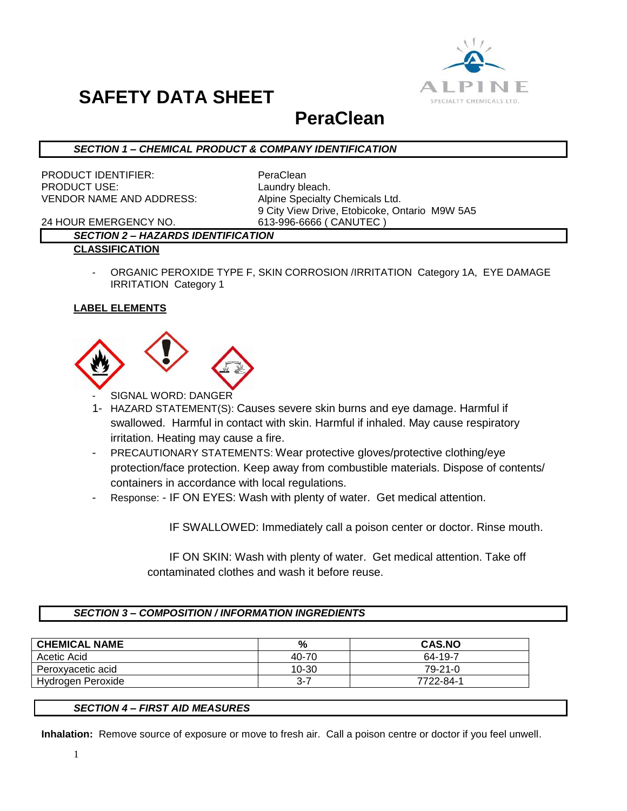



# **PeraClean**

### *SECTION 1 – CHEMICAL PRODUCT & COMPANY IDENTIFICATION*

PRODUCT IDENTIFIER: PeraClean PRODUCT USE: Laundry bleach. VENDOR NAME AND ADDRESS: Alpine Specialty Chemicals Ltd.

9 City View Drive, Etobicoke, Ontario M9W 5A5

24 HOUR EMERGENCY NO. 613-996-6666 ( CANUTEC )

### *SECTION 2 – HAZARDS IDENTIFICATION* **CLASSIFICATION**

- ORGANIC PEROXIDE TYPE F, SKIN CORROSION /IRRITATION Category 1A, EYE DAMAGE IRRITATION Category 1

### **LABEL ELEMENTS**



- SIGNAL WORD: DANGER
- 1- HAZARD STATEMENT(S): Causes severe skin burns and eye damage. Harmful if swallowed. Harmful in contact with skin. Harmful if inhaled. May cause respiratory irritation. Heating may cause a fire.
- PRECAUTIONARY STATEMENTS: Wear protective gloves/protective clothing/eye protection/face protection. Keep away from combustible materials. Dispose of contents/ containers in accordance with local regulations.
- Response: IF ON EYES: Wash with plenty of water. Get medical attention.

IF SWALLOWED: Immediately call a poison center or doctor. Rinse mouth.

 IF ON SKIN: Wash with plenty of water. Get medical attention. Take off contaminated clothes and wash it before reuse.

#### *SECTION 3 – COMPOSITION / INFORMATION INGREDIENTS*

| <b>CHEMICAL NAME</b> | %     | <b>CAS.NO</b> |
|----------------------|-------|---------------|
| Acetic Acid          | 40-70 | 64-19-7       |
| Peroxyacetic acid    | 10-30 | $79-21-0$     |
| Hydrogen Peroxide    | 3-7   | 7722-84-1     |

#### *SECTION 4 – FIRST AID MEASURES*

**Inhalation:** Remove source of exposure or move to fresh air. Call a poison centre or doctor if you feel unwell.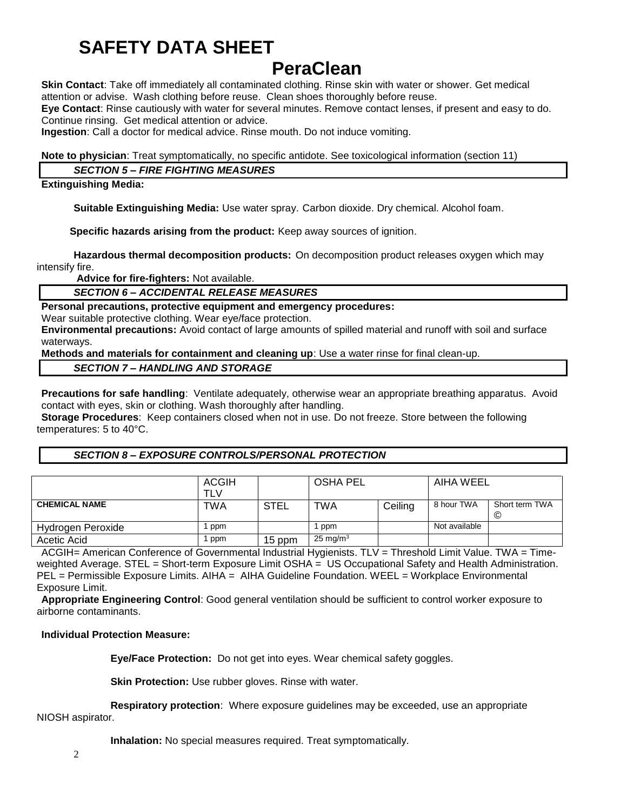# **SAFETY DATA SHEET**

# **PeraClean**

**Skin Contact**: Take off immediately all contaminated clothing. Rinse skin with water or shower. Get medical attention or advise. Wash clothing before reuse. Clean shoes thoroughly before reuse.

**Eye Contact**: Rinse cautiously with water for several minutes. Remove contact lenses, if present and easy to do. Continue rinsing. Get medical attention or advice.

**Ingestion**: Call a doctor for medical advice. Rinse mouth. Do not induce vomiting.

**Note to physician**: Treat symptomatically, no specific antidote. See toxicological information (section 11)

### *SECTION 5 – FIRE FIGHTING MEASURES*

#### **Extinguishing Media:**

**Suitable Extinguishing Media:** Use water spray. Carbon dioxide. Dry chemical. Alcohol foam.

 **Specific hazards arising from the product:** Keep away sources of ignition.

**Hazardous thermal decomposition products:** On decomposition product releases oxygen which may intensify fire.

**Advice for fire-fighters:** Not available.

### *SECTION 6 – ACCIDENTAL RELEASE MEASURES*

**Personal precautions, protective equipment and emergency procedures:**

Wear suitable protective clothing. Wear eye/face protection.

**Environmental precautions:** Avoid contact of large amounts of spilled material and runoff with soil and surface waterways.

**Methods and materials for containment and cleaning up**: Use a water rinse for final clean-up.

*SECTION 7 – HANDLING AND STORAGE*

**Precautions for safe handling**: Ventilate adequately, otherwise wear an appropriate breathing apparatus. Avoid contact with eyes, skin or clothing. Wash thoroughly after handling.

**Storage Procedures**: Keep containers closed when not in use. Do not freeze. Store between the following temperatures: 5 to 40°C.

### *SECTION 8 – EXPOSURE CONTROLS/PERSONAL PROTECTION*

|                      | <b>ACGIH</b><br><b>TLV</b> |             | <b>OSHA PEL</b>     |         | AIHA WEEL     |                     |
|----------------------|----------------------------|-------------|---------------------|---------|---------------|---------------------|
| <b>CHEMICAL NAME</b> | TWA                        | <b>STEL</b> | <b>TWA</b>          | Ceiling | 8 hour TWA    | Short term TWA<br>© |
| Hydrogen Peroxide    | ppm                        |             | ppm                 |         | Not available |                     |
| Acetic Acid          | ppm                        | $15$ ppm    | $25 \text{ mg/m}^3$ |         |               |                     |

ACGIH= American Conference of Governmental Industrial Hygienists. TLV = Threshold Limit Value. TWA = Timeweighted Average. STEL = Short-term Exposure Limit OSHA = US Occupational Safety and Health Administration. PEL = Permissible Exposure Limits. AIHA = AIHA Guideline Foundation. WEEL = Workplace Environmental Exposure Limit.

**Appropriate Engineering Control**: Good general ventilation should be sufficient to control worker exposure to airborne contaminants.

#### **Individual Protection Measure:**

**Eye/Face Protection:** Do not get into eyes. Wear chemical safety goggles.

**Skin Protection:** Use rubber gloves. Rinse with water.

**Respiratory protection**: Where exposure guidelines may be exceeded, use an appropriate NIOSH aspirator.

**Inhalation:** No special measures required. Treat symptomatically.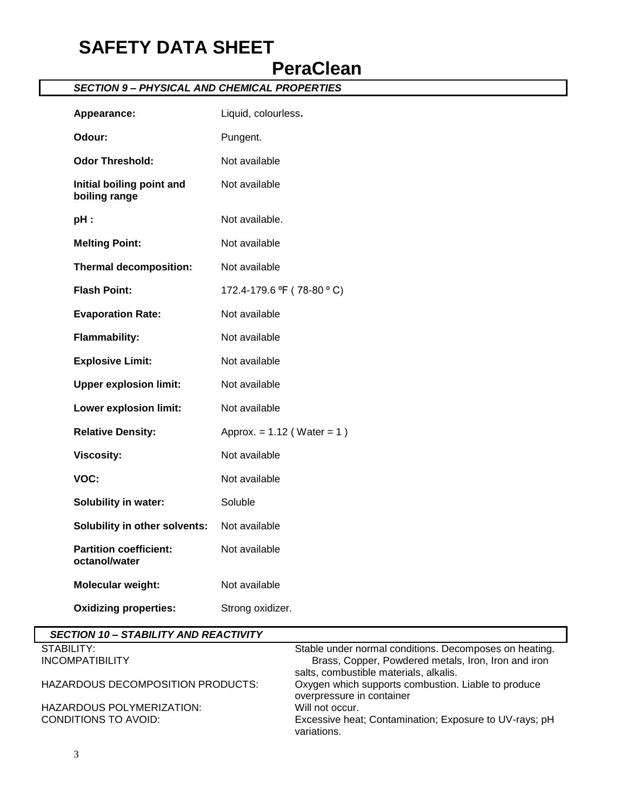# **SAFETY DATA SHEET**

# **PeraClean**

## *SECTION 9 – PHYSICAL AND CHEMICAL PROPERTIES*

| Appearance:                                    | Liquid, colourless.          |
|------------------------------------------------|------------------------------|
| Odour:                                         | Pungent.                     |
| <b>Odor Threshold:</b>                         | Not available                |
| Initial boiling point and<br>boiling range     | Not available                |
| $pH$ :                                         | Not available.               |
| <b>Melting Point:</b>                          | Not available                |
| <b>Thermal decomposition:</b>                  | Not available                |
| <b>Flash Point:</b>                            | 172.4-179.6 °F (78-80 °C)    |
| <b>Evaporation Rate:</b>                       | Not available                |
| <b>Flammability:</b>                           | Not available                |
| <b>Explosive Limit:</b>                        | Not available                |
| <b>Upper explosion limit:</b>                  | Not available                |
| Lower explosion limit:                         | Not available                |
| <b>Relative Density:</b>                       | Approx. = $1.12$ (Water = 1) |
| <b>Viscosity:</b>                              | Not available                |
| VOC:                                           | Not available                |
| <b>Solubility in water:</b>                    | Soluble                      |
| Solubility in other solvents:                  | Not available                |
| <b>Partition coefficient:</b><br>octanol/water | Not available                |
| Molecular weight:                              | Not available                |
| <b>Oxidizing properties:</b>                   | Strong oxidizer.             |

| <b>SECTION 10 - STABILITY AND REACTIVITY</b> |                                                                                               |
|----------------------------------------------|-----------------------------------------------------------------------------------------------|
| STABILITY:                                   | Stable under normal conditions. Decomposes on heating.                                        |
| <b>INCOMPATIBILITY</b>                       | Brass, Copper, Powdered metals, Iron, Iron and iron<br>salts, combustible materials, alkalis. |
| HAZARDOUS DECOMPOSITION PRODUCTS:            | Oxygen which supports combustion. Liable to produce<br>overpressure in container              |
| <b>HAZARDOUS POLYMERIZATION:</b>             | Will not occur.                                                                               |
| CONDITIONS TO AVOID:                         | Excessive heat; Contamination; Exposure to UV-rays; pH<br>variations.                         |